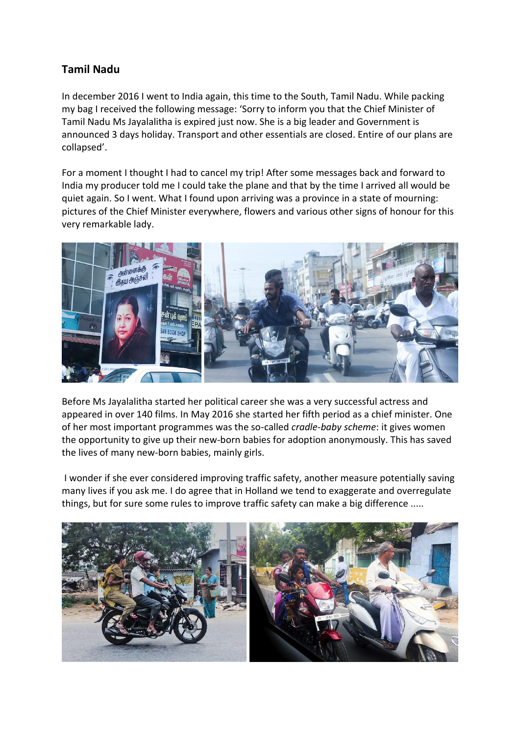## **Tamil Nadu**

In december 2016 I went to India again, this time to the South, Tamil Nadu. While packing my bag I received the following message: 'Sorry to inform you that the Chief Minister of Tamil Nadu Ms Jayalalitha is expired just now. She is a big leader and Government is announced 3 days holiday. Transport and other essentials are closed. Entire of our plans are collapsed'.

For a moment I thought I had to cancel my trip! After some messages back and forward to India my producer told me I could take the plane and that by the time I arrived all would be quiet again. So I went. What I found upon arriving was a province in a state of mourning: pictures of the Chief Minister everywhere, flowers and various other signs of honour for this very remarkable lady.



Before Ms Jayalalitha started her political career she was a very successful actress and appeared in over 140 films. In May 2016 she started her fifth period as a chief minister. One of her most important programmes was the so-called *cradle-baby scheme*: it gives women the opportunity to give up their new-born babies for adoption anonymously. This has saved the lives of many new-born babies, mainly girls.

I wonder if she ever considered improving traffic safety, another measure potentially saving many lives if you ask me. I do agree that in Holland we tend to exaggerate and overregulate things, but for sure some rules to improve traffic safety can make a big difference .....

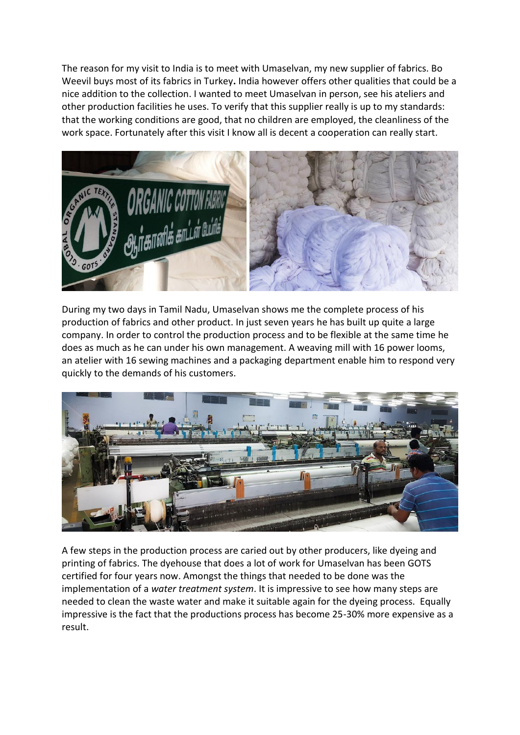The reason for my visit to India is to meet with Umaselvan, my new supplier of fabrics. Bo Weevil buys most of its fabrics in Turkey**.** India however offers other qualities that could be a nice addition to the collection. I wanted to meet Umaselvan in person, see his ateliers and other production facilities he uses. To verify that this supplier really is up to my standards: that the working conditions are good, that no children are employed, the cleanliness of the work space. Fortunately after this visit I know all is decent a cooperation can really start.



During my two days in Tamil Nadu, Umaselvan shows me the complete process of his production of fabrics and other product. In just seven years he has built up quite a large company. In order to control the production process and to be flexible at the same time he does as much as he can under his own management. A weaving mill with 16 power looms, an atelier with 16 sewing machines and a packaging department enable him to respond very quickly to the demands of his customers.



A few steps in the production process are caried out by other producers, like dyeing and printing of fabrics. The dyehouse that does a lot of work for Umaselvan has been GOTS certified for four years now. Amongst the things that needed to be done was the implementation of a *water treatment system*. It is impressive to see how many steps are needed to clean the waste water and make it suitable again for the dyeing process. Equally impressive is the fact that the productions process has become 25-30% more expensive as a result.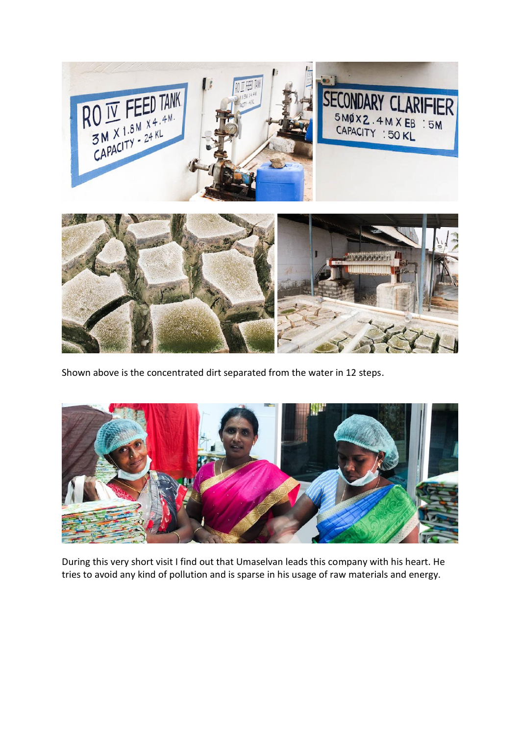

Shown above is the concentrated dirt separated from the water in 12 steps.



During this very short visit I find out that Umaselvan leads this company with his heart. He tries to avoid any kind of pollution and is sparse in his usage of raw materials and energy.